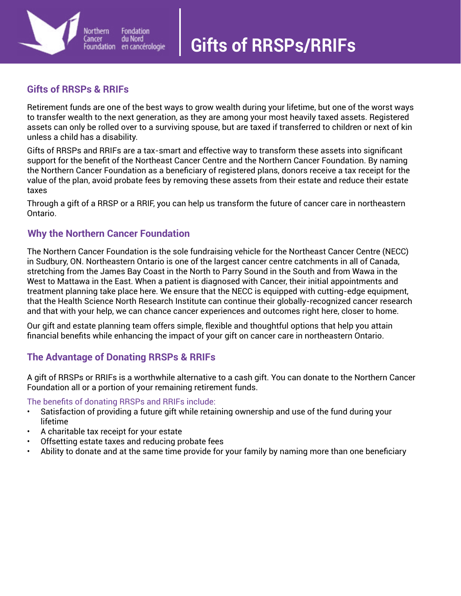# **Gifts of RRSPs/RRIFs**



## **Gifts of RRSPs & RRIFs**

Retirement funds are one of the best ways to grow wealth during your lifetime, but one of the worst ways to transfer wealth to the next generation, as they are among your most heavily taxed assets. Registered assets can only be rolled over to a surviving spouse, but are taxed if transferred to children or next of kin unless a child has a disability.

Gifts of RRSPs and RRIFs are a tax-smart and effective way to transform these assets into significant support for the benefit of the Northeast Cancer Centre and the Northern Cancer Foundation. By naming the Northern Cancer Foundation as a beneficiary of registered plans, donors receive a tax receipt for the value of the plan, avoid probate fees by removing these assets from their estate and reduce their estate taxes

Through a gift of a RRSP or a RRIF, you can help us transform the future of cancer care in northeastern Ontario.

### **Why the Northern Cancer Foundation**

The Northern Cancer Foundation is the sole fundraising vehicle for the Northeast Cancer Centre (NECC) in Sudbury, ON. Northeastern Ontario is one of the largest cancer centre catchments in all of Canada, stretching from the James Bay Coast in the North to Parry Sound in the South and from Wawa in the West to Mattawa in the East. When a patient is diagnosed with Cancer, their initial appointments and treatment planning take place here. We ensure that the NECC is equipped with cutting-edge equipment, that the Health Science North Research Institute can continue their globally-recognized cancer research and that with your help, we can chance cancer experiences and outcomes right here, closer to home.

Our gift and estate planning team offers simple, flexible and thoughtful options that help you attain financial benefits while enhancing the impact of your gift on cancer care in northeastern Ontario.

## **The Advantage of Donating RRSPs & RRIFs**

A gift of RRSPs or RRIFs is a worthwhile alternative to a cash gift. You can donate to the Northern Cancer Foundation all or a portion of your remaining retirement funds.

The benefits of donating RRSPs and RRIFs include:

- Satisfaction of providing a future gift while retaining ownership and use of the fund during your lifetime
- A charitable tax receipt for your estate
- Offsetting estate taxes and reducing probate fees
- Ability to donate and at the same time provide for your family by naming more than one beneficiary